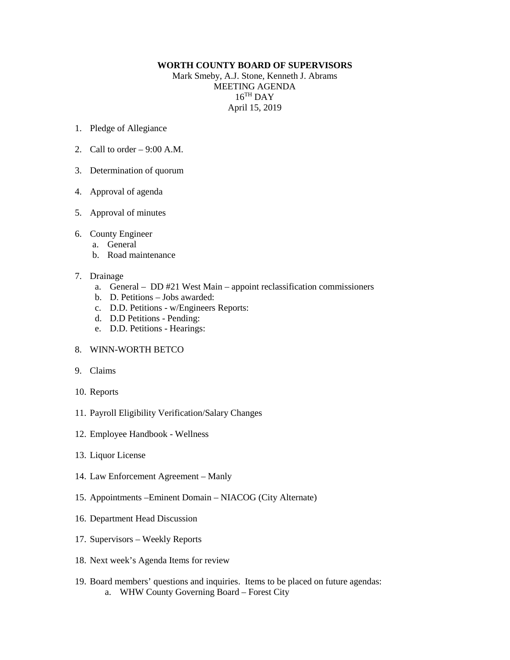## **WORTH COUNTY BOARD OF SUPERVISORS**

Mark Smeby, A.J. Stone, Kenneth J. Abrams MEETING AGENDA  $16^{\text{TH}}$  DAY April 15, 2019

- 1. Pledge of Allegiance
- 2. Call to order  $-9:00$  A.M.
- 3. Determination of quorum
- 4. Approval of agenda
- 5. Approval of minutes
- 6. County Engineer
	- a. General
	- b. Road maintenance

## 7. Drainage

- a. General DD #21 West Main appoint reclassification commissioners
- b. D. Petitions Jobs awarded:
- c. D.D. Petitions w/Engineers Reports:
- d. D.D Petitions Pending:
- e. D.D. Petitions Hearings:
- 8. WINN-WORTH BETCO
- 9. Claims
- 10. Reports
- 11. Payroll Eligibility Verification/Salary Changes
- 12. Employee Handbook Wellness
- 13. Liquor License
- 14. Law Enforcement Agreement Manly
- 15. Appointments –Eminent Domain NIACOG (City Alternate)
- 16. Department Head Discussion
- 17. Supervisors Weekly Reports
- 18. Next week's Agenda Items for review
- 19. Board members' questions and inquiries. Items to be placed on future agendas: a. WHW County Governing Board – Forest City